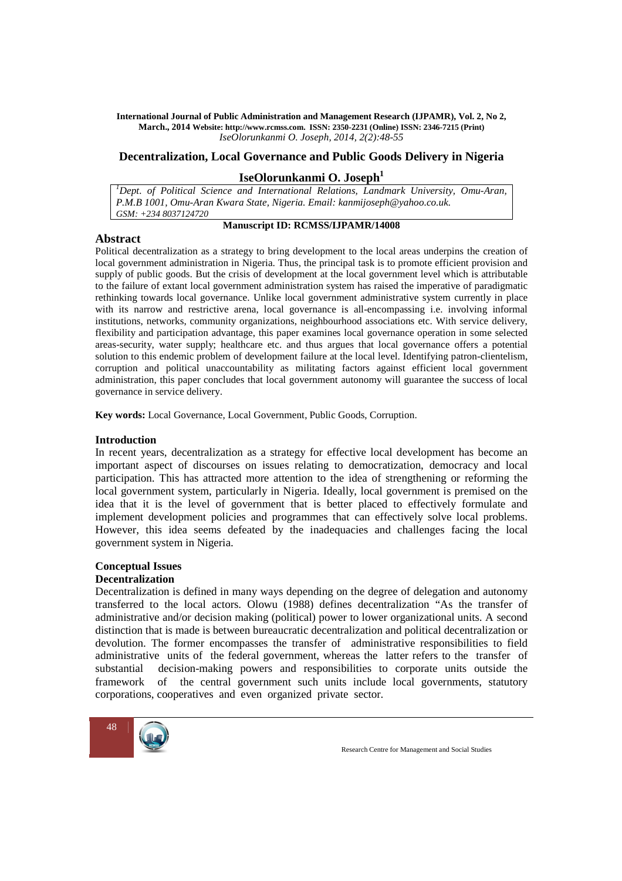## **Decentralization, Local Governance and Public Goods Delivery in Nigeria**

# **IseOlorunkanmi O. Joseph<sup>1</sup>**

*<sup>1</sup>Dept. of Political Science and International Relations, Landmark University, Omu-Aran, P.M.B 1001, Omu-Aran Kwara State, Nigeria. Email: kanmijoseph@yahoo.co.uk. GSM: +234 8037124720*

### **Abstract**

# **Manuscript ID: RCMSS/IJPAMR/14008**

Political decentralization as a strategy to bring development to the local areas underpins the creation of local government administration in Nigeria. Thus, the principal task is to promote efficient provision and supply of public goods. But the crisis of development at the local government level which is attributable to the failure of extant local government administration system has raised the imperative of paradigmatic rethinking towards local governance. Unlike local government administrative system currently in place with its narrow and restrictive arena, local governance is all-encompassing i.e. involving informal institutions, networks, community organizations, neighbourhood associations etc. With service delivery, flexibility and participation advantage, this paper examines local governance operation in some selected areas-security, water supply; healthcare etc. and thus argues that local governance offers a potential solution to this endemic problem of development failure at the local level. Identifying patron-clientelism, corruption and political unaccountability as militating factors against efficient local government administration, this paper concludes that local government autonomy will guarantee the success of local governance in service delivery.

**Key words:** Local Governance, Local Government, Public Goods, Corruption.

### **Introduction**

In recent years, decentralization as a strategy for effective local development has become an important aspect of discourses on issues relating to democratization, democracy and local participation. This has attracted more attention to the idea of strengthening or reforming the local government system, particularly in Nigeria. Ideally, local government is premised on the idea that it is the level of government that is better placed to effectively formulate and implement development policies and programmes that can effectively solve local problems. However, this idea seems defeated by the inadequacies and challenges facing the local government system in Nigeria.

### **Conceptual Issues**

### **Decentralization**

Decentralization is defined in many ways depending on the degree of delegation and autonomy transferred to the local actors. Olowu (1988) defines decentralization "As the transfer of administrative and/or decision making (political) power to lower organizational units. A second distinction that is made is between bureaucratic decentralization and political decentralization or devolution. The former encompasses the transfer of administrative responsibilities to field administrative units of the federal government, whereas the latter refers to the transfer of substantial decision-making powers and responsibilities to corporate units outside the framework of the central government such units include local governments, statutory corporations, cooperatives and even organized private sector.

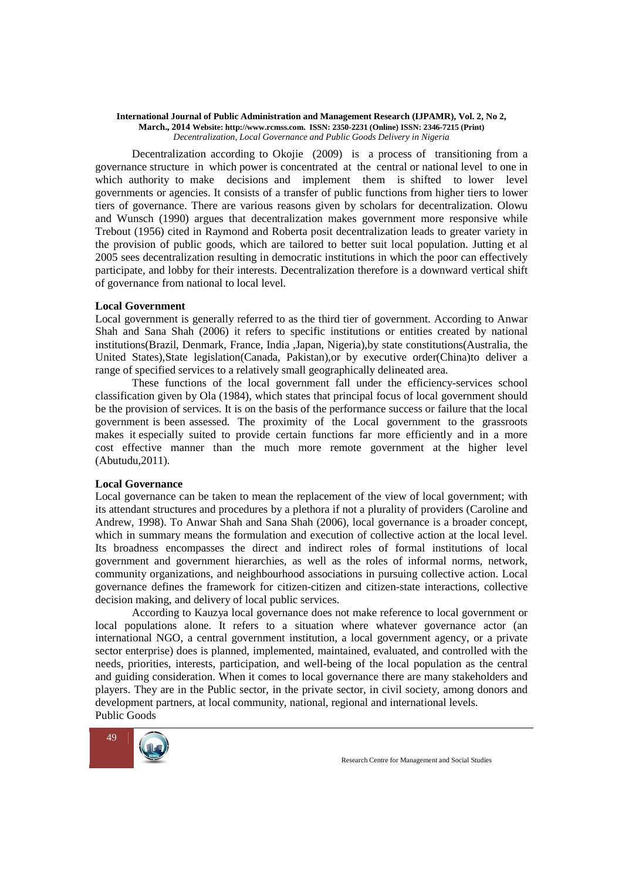Decentralization according to Okojie (2009) is a process of transitioning from a governance structure in which power is concentrated at the central or national level to one in which authority to make decisions and implement them is shifted to lower level governments or agencies. It consists of a transfer of public functions from higher tiers to lower tiers of governance. There are various reasons given by scholars for decentralization. Olowu and Wunsch (1990) argues that decentralization makes government more responsive while Trebout (1956) cited in Raymond and Roberta posit decentralization leads to greater variety in the provision of public goods, which are tailored to better suit local population. Jutting et al 2005 sees decentralization resulting in democratic institutions in which the poor can effectively participate, and lobby for their interests. Decentralization therefore is a downward vertical shift of governance from national to local level.

### **Local Government**

Local government is generally referred to as the third tier of government. According to Anwar Shah and Sana Shah (2006) it refers to specific institutions or entities created by national institutions(Brazil, Denmark, France, India ,Japan, Nigeria),by state constitutions(Australia, the United States),State legislation(Canada, Pakistan),or by executive order(China)to deliver a range of specified services to a relatively small geographically delineated area.

 These functions of the local government fall under the efficiency-services school classification given by Ola (1984), which states that principal focus of local government should be the provision of services. It is on the basis of the performance success or failure that the local government is been assessed. The proximity of the Local government to the grassroots makes it especially suited to provide certain functions far more efficiently and in a more cost effective manner than the much more remote government at the higher level (Abutudu,2011).

### **Local Governance**

Local governance can be taken to mean the replacement of the view of local government; with its attendant structures and procedures by a plethora if not a plurality of providers (Caroline and Andrew, 1998). To Anwar Shah and Sana Shah (2006), local governance is a broader concept, which in summary means the formulation and execution of collective action at the local level. Its broadness encompasses the direct and indirect roles of formal institutions of local government and government hierarchies, as well as the roles of informal norms, network, community organizations, and neighbourhood associations in pursuing collective action. Local governance defines the framework for citizen-citizen and citizen-state interactions, collective decision making, and delivery of local public services.

 According to Kauzya local governance does not make reference to local government or local populations alone. It refers to a situation where whatever governance actor (an international NGO, a central government institution, a local government agency, or a private sector enterprise) does is planned, implemented, maintained, evaluated, and controlled with the needs, priorities, interests, participation, and well-being of the local population as the central and guiding consideration. When it comes to local governance there are many stakeholders and players. They are in the Public sector, in the private sector, in civil society, among donors and development partners, at local community, national, regional and international levels. Public Goods

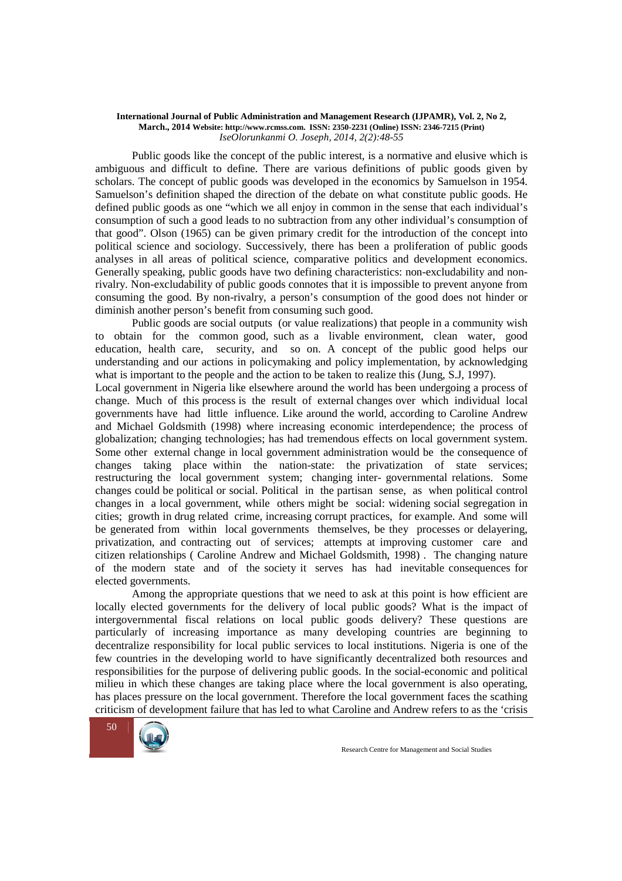Public goods like the concept of the public interest, is a normative and elusive which is ambiguous and difficult to define. There are various definitions of public goods given by scholars. The concept of public goods was developed in the economics by Samuelson in 1954. Samuelson's definition shaped the direction of the debate on what constitute public goods. He defined public goods as one "which we all enjoy in common in the sense that each individual's consumption of such a good leads to no subtraction from any other individual's consumption of that good". Olson (1965) can be given primary credit for the introduction of the concept into political science and sociology. Successively, there has been a proliferation of public goods analyses in all areas of political science, comparative politics and development economics. Generally speaking, public goods have two defining characteristics: non-excludability and nonrivalry. Non-excludability of public goods connotes that it is impossible to prevent anyone from consuming the good. By non-rivalry, a person's consumption of the good does not hinder or diminish another person's benefit from consuming such good.

 Public goods are social outputs (or value realizations) that people in a community wish to obtain for the common good, such as a livable environment, clean water, good education, health care, security, and so on. A concept of the public good helps our understanding and our actions in policymaking and policy implementation, by acknowledging what is important to the people and the action to be taken to realize this (Jung, S.J, 1997).

Local government in Nigeria like elsewhere around the world has been undergoing a process of change. Much of this process is the result of external changes over which individual local governments have had little influence. Like around the world, according to Caroline Andrew and Michael Goldsmith (1998) where increasing economic interdependence; the process of globalization; changing technologies; has had tremendous effects on local government system. Some other external change in local government administration would be the consequence of changes taking place within the nation-state: the privatization of state services; restructuring the local government system; changing inter- governmental relations. Some changes could be political or social. Political in the partisan sense, as when political control changes in a local government, while others might be social: widening social segregation in cities; growth in drug related crime, increasing corrupt practices, for example. And some will be generated from within local governments themselves, be they processes or delayering, privatization, and contracting out of services; attempts at improving customer care and citizen relationships ( Caroline Andrew and Michael Goldsmith, 1998) . The changing nature of the modern state and of the society it serves has had inevitable consequences for elected governments.

 Among the appropriate questions that we need to ask at this point is how efficient are locally elected governments for the delivery of local public goods? What is the impact of intergovernmental fiscal relations on local public goods delivery? These questions are particularly of increasing importance as many developing countries are beginning to decentralize responsibility for local public services to local institutions. Nigeria is one of the few countries in the developing world to have significantly decentralized both resources and responsibilities for the purpose of delivering public goods. In the social-economic and political milieu in which these changes are taking place where the local government is also operating, has places pressure on the local government. Therefore the local government faces the scathing criticism of development failure that has led to what Caroline and Andrew refers to as the 'crisis

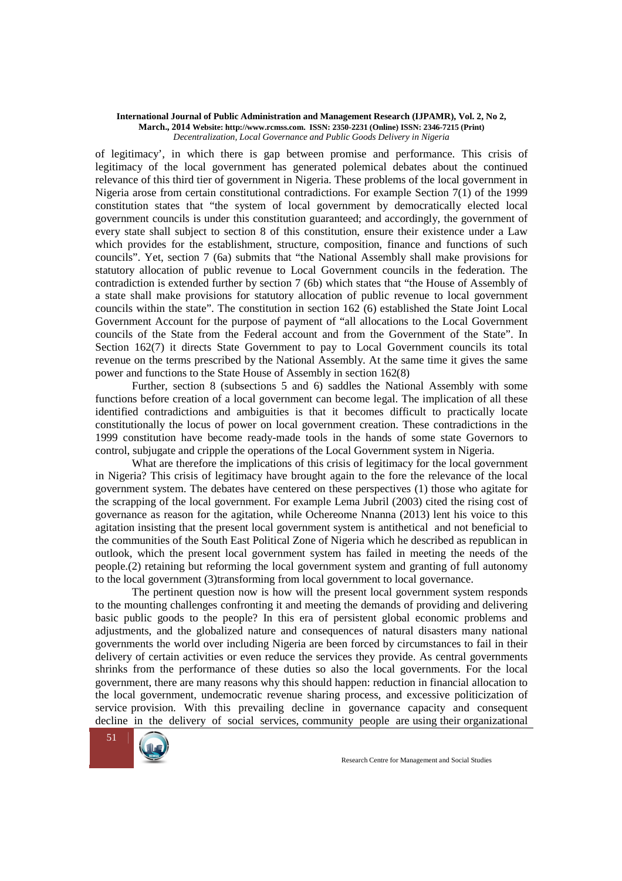of legitimacy', in which there is gap between promise and performance. This crisis of legitimacy of the local government has generated polemical debates about the continued relevance of this third tier of government in Nigeria. These problems of the local government in Nigeria arose from certain constitutional contradictions. For example Section 7(1) of the 1999 constitution states that "the system of local government by democratically elected local government councils is under this constitution guaranteed; and accordingly, the government of every state shall subject to section 8 of this constitution, ensure their existence under a Law which provides for the establishment, structure, composition, finance and functions of such councils". Yet, section 7 (6a) submits that "the National Assembly shall make provisions for statutory allocation of public revenue to Local Government councils in the federation. The contradiction is extended further by section 7 (6b) which states that "the House of Assembly of a state shall make provisions for statutory allocation of public revenue to local government councils within the state". The constitution in section 162 (6) established the State Joint Local Government Account for the purpose of payment of "all allocations to the Local Government councils of the State from the Federal account and from the Government of the State". In Section 162(7) it directs State Government to pay to Local Government councils its total revenue on the terms prescribed by the National Assembly. At the same time it gives the same power and functions to the State House of Assembly in section 162(8)

 Further, section 8 (subsections 5 and 6) saddles the National Assembly with some functions before creation of a local government can become legal. The implication of all these identified contradictions and ambiguities is that it becomes difficult to practically locate constitutionally the locus of power on local government creation. These contradictions in the 1999 constitution have become ready-made tools in the hands of some state Governors to control, subjugate and cripple the operations of the Local Government system in Nigeria.

 What are therefore the implications of this crisis of legitimacy for the local government in Nigeria? This crisis of legitimacy have brought again to the fore the relevance of the local government system. The debates have centered on these perspectives (1) those who agitate for the scrapping of the local government. For example Lema Jubril (2003) cited the rising cost of governance as reason for the agitation, while Ochereome Nnanna (2013) lent his voice to this agitation insisting that the present local government system is antithetical and not beneficial to the communities of the South East Political Zone of Nigeria which he described as republican in outlook, which the present local government system has failed in meeting the needs of the people.(2) retaining but reforming the local government system and granting of full autonomy to the local government (3)transforming from local government to local governance.

 The pertinent question now is how will the present local government system responds to the mounting challenges confronting it and meeting the demands of providing and delivering basic public goods to the people? In this era of persistent global economic problems and adjustments, and the globalized nature and consequences of natural disasters many national governments the world over including Nigeria are been forced by circumstances to fail in their delivery of certain activities or even reduce the services they provide. As central governments shrinks from the performance of these duties so also the local governments. For the local government, there are many reasons why this should happen: reduction in financial allocation to the local government, undemocratic revenue sharing process, and excessive politicization of service provision. With this prevailing decline in governance capacity and consequent decline in the delivery of social services, community people are using their organizational

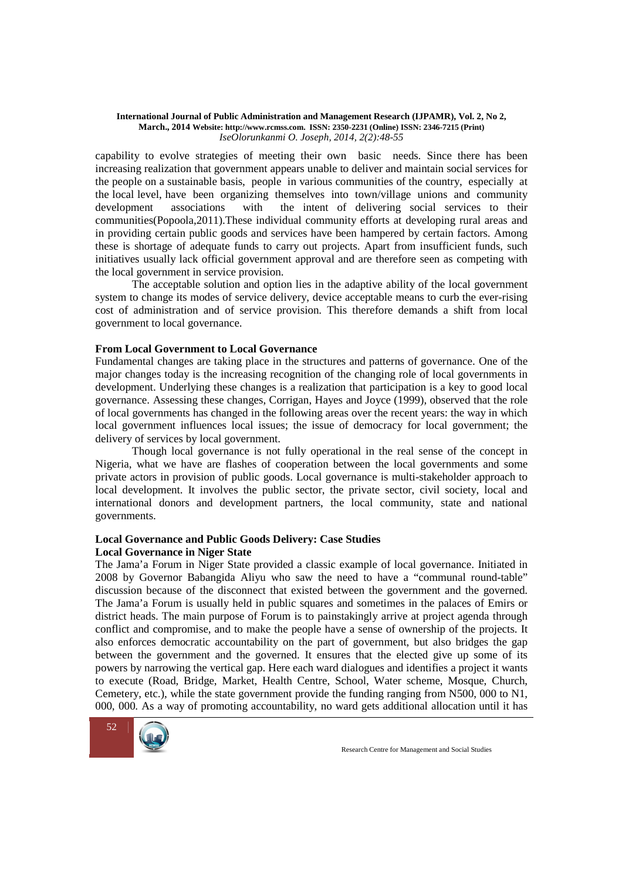capability to evolve strategies of meeting their own basic needs. Since there has been increasing realization that government appears unable to deliver and maintain social services for the people on a sustainable basis, people in various communities of the country, especially at the local level, have been organizing themselves into town/village unions and community development associations with the intent of delivering social services to their communities(Popoola,2011).These individual community efforts at developing rural areas and in providing certain public goods and services have been hampered by certain factors. Among these is shortage of adequate funds to carry out projects. Apart from insufficient funds, such initiatives usually lack official government approval and are therefore seen as competing with the local government in service provision.

 The acceptable solution and option lies in the adaptive ability of the local government system to change its modes of service delivery, device acceptable means to curb the ever-rising cost of administration and of service provision. This therefore demands a shift from local government to local governance.

### **From Local Government to Local Governance**

Fundamental changes are taking place in the structures and patterns of governance. One of the major changes today is the increasing recognition of the changing role of local governments in development. Underlying these changes is a realization that participation is a key to good local governance. Assessing these changes, Corrigan, Hayes and Joyce (1999), observed that the role of local governments has changed in the following areas over the recent years: the way in which local government influences local issues; the issue of democracy for local government; the delivery of services by local government.

 Though local governance is not fully operational in the real sense of the concept in Nigeria, what we have are flashes of cooperation between the local governments and some private actors in provision of public goods. Local governance is multi-stakeholder approach to local development. It involves the public sector, the private sector, civil society, local and international donors and development partners, the local community, state and national governments.

## **Local Governance and Public Goods Delivery: Case Studies Local Governance in Niger State**

The Jama'a Forum in Niger State provided a classic example of local governance. Initiated in 2008 by Governor Babangida Aliyu who saw the need to have a "communal round-table" discussion because of the disconnect that existed between the government and the governed. The Jama'a Forum is usually held in public squares and sometimes in the palaces of Emirs or district heads. The main purpose of Forum is to painstakingly arrive at project agenda through conflict and compromise, and to make the people have a sense of ownership of the projects. It also enforces democratic accountability on the part of government, but also bridges the gap between the government and the governed. It ensures that the elected give up some of its powers by narrowing the vertical gap. Here each ward dialogues and identifies a project it wants to execute (Road, Bridge, Market, Health Centre, School, Water scheme, Mosque, Church, Cemetery, etc.), while the state government provide the funding ranging from N500, 000 to N1, 000, 000. As a way of promoting accountability, no ward gets additional allocation until it has

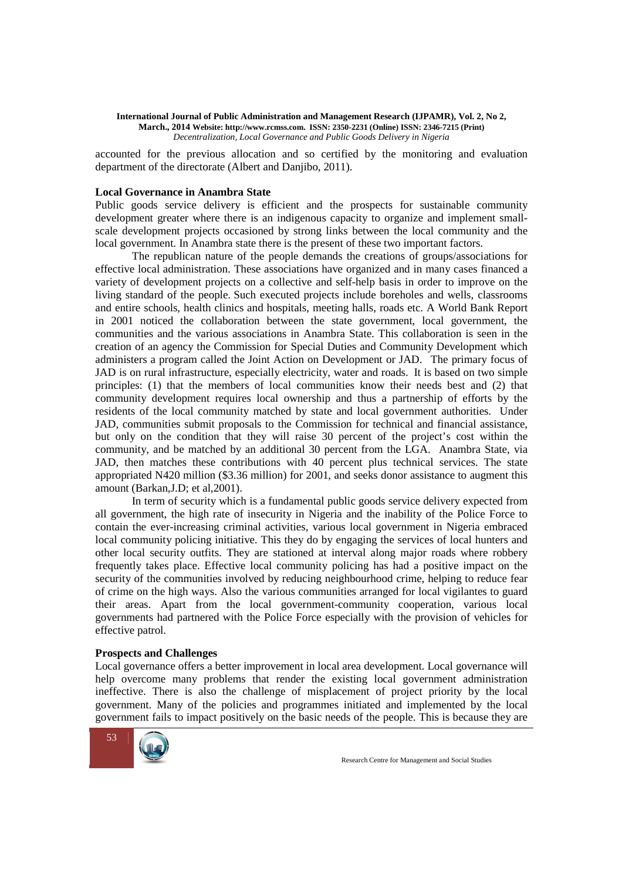accounted for the previous allocation and so certified by the monitoring and evaluation department of the directorate (Albert and Danjibo, 2011).

### **Local Governance in Anambra State**

Public goods service delivery is efficient and the prospects for sustainable community development greater where there is an indigenous capacity to organize and implement smallscale development projects occasioned by strong links between the local community and the local government. In Anambra state there is the present of these two important factors.

 The republican nature of the people demands the creations of groups/associations for effective local administration. These associations have organized and in many cases financed a variety of development projects on a collective and self-help basis in order to improve on the living standard of the people. Such executed projects include boreholes and wells, classrooms and entire schools, health clinics and hospitals, meeting halls, roads etc. A World Bank Report in 2001 noticed the collaboration between the state government, local government, the communities and the various associations in Anambra State. This collaboration is seen in the creation of an agency the Commission for Special Duties and Community Development which administers a program called the Joint Action on Development or JAD. The primary focus of JAD is on rural infrastructure, especially electricity, water and roads. It is based on two simple principles: (1) that the members of local communities know their needs best and (2) that community development requires local ownership and thus a partnership of efforts by the residents of the local community matched by state and local government authorities. Under JAD, communities submit proposals to the Commission for technical and financial assistance, but only on the condition that they will raise 30 percent of the project's cost within the community, and be matched by an additional 30 percent from the LGA. Anambra State, via JAD, then matches these contributions with 40 percent plus technical services. The state appropriated N420 million (\$3.36 million) for 2001, and seeks donor assistance to augment this amount (Barkan,J.D; et al,2001).

 In term of security which is a fundamental public goods service delivery expected from all government, the high rate of insecurity in Nigeria and the inability of the Police Force to contain the ever-increasing criminal activities, various local government in Nigeria embraced local community policing initiative. This they do by engaging the services of local hunters and other local security outfits. They are stationed at interval along major roads where robbery frequently takes place. Effective local community policing has had a positive impact on the security of the communities involved by reducing neighbourhood crime, helping to reduce fear of crime on the high ways. Also the various communities arranged for local vigilantes to guard their areas. Apart from the local government-community cooperation, various local governments had partnered with the Police Force especially with the provision of vehicles for effective patrol.

### **Prospects and Challenges**

Local governance offers a better improvement in local area development. Local governance will help overcome many problems that render the existing local government administration ineffective. There is also the challenge of misplacement of project priority by the local government. Many of the policies and programmes initiated and implemented by the local government fails to impact positively on the basic needs of the people. This is because they are

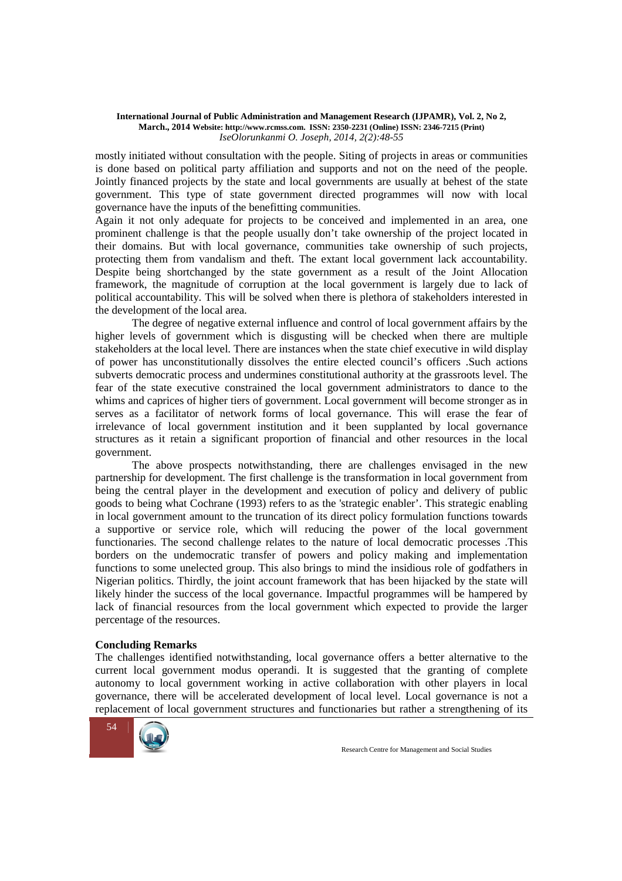mostly initiated without consultation with the people. Siting of projects in areas or communities is done based on political party affiliation and supports and not on the need of the people. Jointly financed projects by the state and local governments are usually at behest of the state government. This type of state government directed programmes will now with local governance have the inputs of the benefitting communities.

Again it not only adequate for projects to be conceived and implemented in an area, one prominent challenge is that the people usually don't take ownership of the project located in their domains. But with local governance, communities take ownership of such projects, protecting them from vandalism and theft. The extant local government lack accountability. Despite being shortchanged by the state government as a result of the Joint Allocation framework, the magnitude of corruption at the local government is largely due to lack of political accountability. This will be solved when there is plethora of stakeholders interested in the development of the local area.

The degree of negative external influence and control of local government affairs by the higher levels of government which is disgusting will be checked when there are multiple stakeholders at the local level. There are instances when the state chief executive in wild display of power has unconstitutionally dissolves the entire elected council's officers .Such actions subverts democratic process and undermines constitutional authority at the grassroots level. The fear of the state executive constrained the local government administrators to dance to the whims and caprices of higher tiers of government. Local government will become stronger as in serves as a facilitator of network forms of local governance. This will erase the fear of irrelevance of local government institution and it been supplanted by local governance structures as it retain a significant proportion of financial and other resources in the local government.

 The above prospects notwithstanding, there are challenges envisaged in the new partnership for development. The first challenge is the transformation in local government from being the central player in the development and execution of policy and delivery of public goods to being what Cochrane (1993) refers to as the 'strategic enabler'. This strategic enabling in local government amount to the truncation of its direct policy formulation functions towards a supportive or service role, which will reducing the power of the local government functionaries. The second challenge relates to the nature of local democratic processes .This borders on the undemocratic transfer of powers and policy making and implementation functions to some unelected group. This also brings to mind the insidious role of godfathers in Nigerian politics. Thirdly, the joint account framework that has been hijacked by the state will likely hinder the success of the local governance. Impactful programmes will be hampered by lack of financial resources from the local government which expected to provide the larger percentage of the resources.

### **Concluding Remarks**

The challenges identified notwithstanding, local governance offers a better alternative to the current local government modus operandi. It is suggested that the granting of complete autonomy to local government working in active collaboration with other players in local governance, there will be accelerated development of local level. Local governance is not a replacement of local government structures and functionaries but rather a strengthening of its